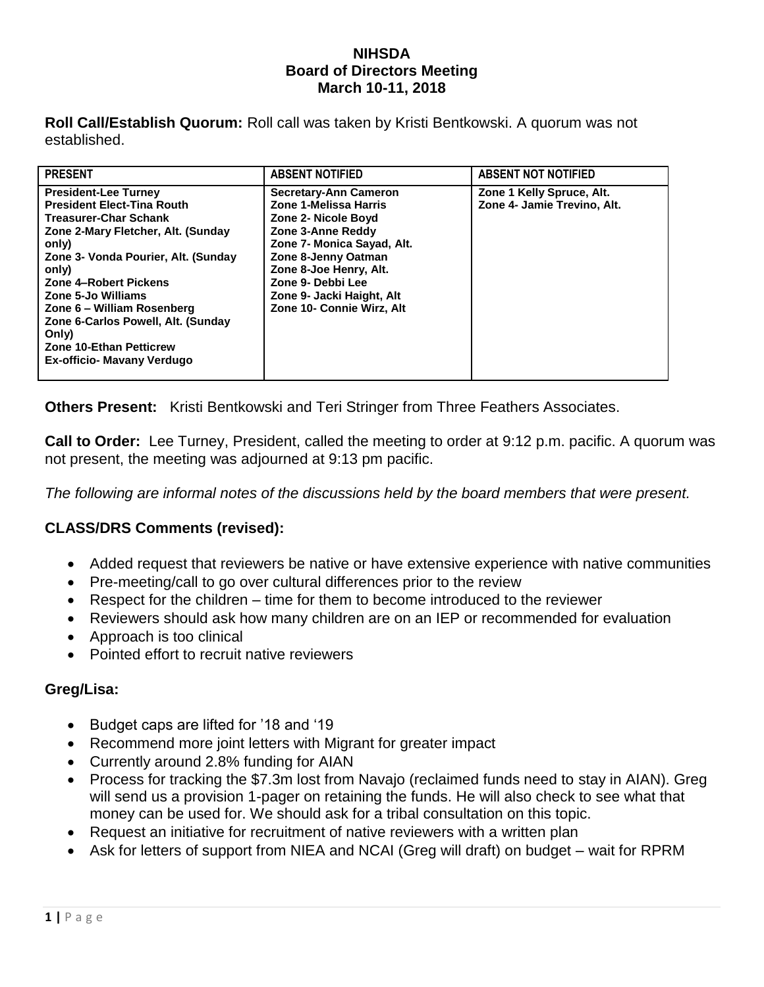## **NIHSDA Board of Directors Meeting March 10-11, 2018**

**Roll Call/Establish Quorum:** Roll call was taken by Kristi Bentkowski. A quorum was not established.

| <b>PRESENT</b>                                                                                                                                                                                                                                                                                                                                                                              | <b>ABSENT NOTIFIED</b>                                                                                                                                                                                                                                          | <b>ABSENT NOT NOTIFIED</b>                               |
|---------------------------------------------------------------------------------------------------------------------------------------------------------------------------------------------------------------------------------------------------------------------------------------------------------------------------------------------------------------------------------------------|-----------------------------------------------------------------------------------------------------------------------------------------------------------------------------------------------------------------------------------------------------------------|----------------------------------------------------------|
| <b>President-Lee Turney</b><br><b>President Elect-Tina Routh</b><br><b>Treasurer-Char Schank</b><br>Zone 2-Mary Fletcher, Alt. (Sunday<br>only)<br>Zone 3- Vonda Pourier, Alt. (Sunday<br>only)<br>Zone 4-Robert Pickens<br>Zone 5-Jo Williams<br>Zone 6 - William Rosenberg<br>Zone 6-Carlos Powell, Alt. (Sunday<br>Only)<br><b>Zone 10-Ethan Petticrew</b><br>Ex-officio- Mavany Verdugo | <b>Secretary-Ann Cameron</b><br>Zone 1-Melissa Harris<br>Zone 2- Nicole Boyd<br>Zone 3-Anne Reddy<br>Zone 7- Monica Sayad, Alt.<br>Zone 8-Jenny Oatman<br>Zone 8-Joe Henry, Alt.<br>Zone 9- Debbi Lee<br>Zone 9- Jacki Haight, Alt<br>Zone 10- Connie Wirz, Alt | Zone 1 Kelly Spruce, Alt.<br>Zone 4- Jamie Trevino, Alt. |

**Others Present:** Kristi Bentkowski and Teri Stringer from Three Feathers Associates.

**Call to Order:** Lee Turney, President, called the meeting to order at 9:12 p.m. pacific. A quorum was not present, the meeting was adjourned at 9:13 pm pacific.

*The following are informal notes of the discussions held by the board members that were present.*

## **CLASS/DRS Comments (revised):**

- Added request that reviewers be native or have extensive experience with native communities
- Pre-meeting/call to go over cultural differences prior to the review
- Respect for the children time for them to become introduced to the reviewer
- Reviewers should ask how many children are on an IEP or recommended for evaluation
- Approach is too clinical
- Pointed effort to recruit native reviewers

## **Greg/Lisa:**

- Budget caps are lifted for '18 and '19
- Recommend more joint letters with Migrant for greater impact
- Currently around 2.8% funding for AIAN
- Process for tracking the \$7.3m lost from Navajo (reclaimed funds need to stay in AIAN). Greg will send us a provision 1-pager on retaining the funds. He will also check to see what that money can be used for. We should ask for a tribal consultation on this topic.
- Request an initiative for recruitment of native reviewers with a written plan
- Ask for letters of support from NIEA and NCAI (Greg will draft) on budget wait for RPRM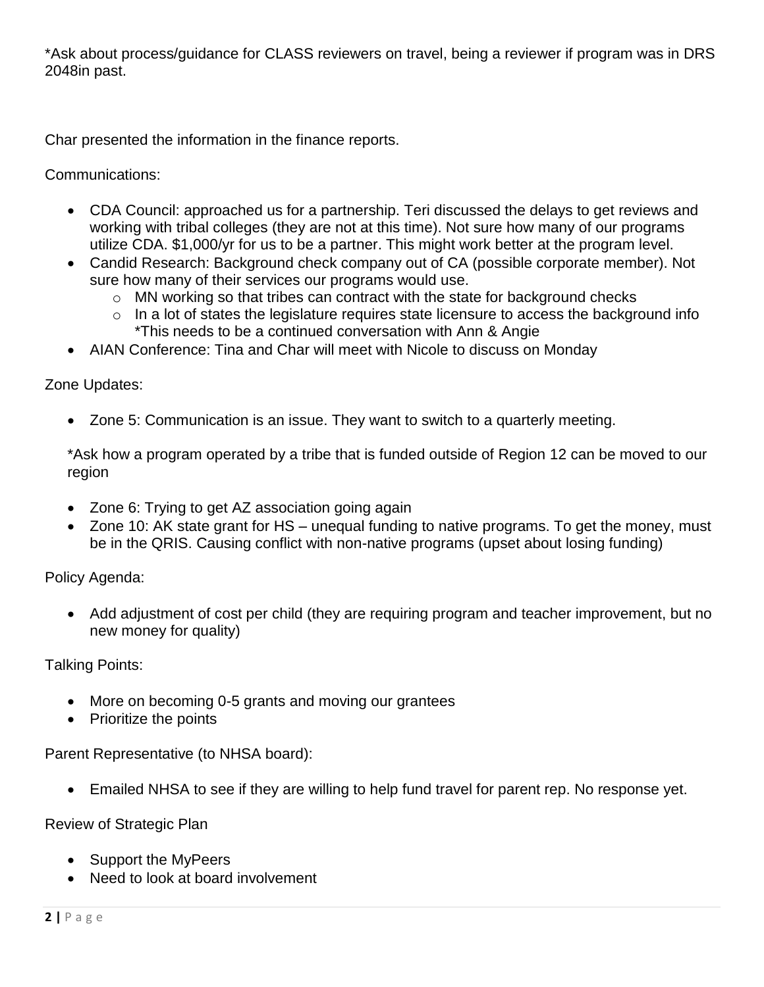\*Ask about process/guidance for CLASS reviewers on travel, being a reviewer if program was in DRS 2048in past.

Char presented the information in the finance reports.

Communications:

- CDA Council: approached us for a partnership. Teri discussed the delays to get reviews and working with tribal colleges (they are not at this time). Not sure how many of our programs utilize CDA. \$1,000/yr for us to be a partner. This might work better at the program level.
- Candid Research: Background check company out of CA (possible corporate member). Not sure how many of their services our programs would use.
	- o MN working so that tribes can contract with the state for background checks
	- $\circ$  In a lot of states the legislature requires state licensure to access the background info \*This needs to be a continued conversation with Ann & Angie
- AIAN Conference: Tina and Char will meet with Nicole to discuss on Monday

Zone Updates:

Zone 5: Communication is an issue. They want to switch to a quarterly meeting.

\*Ask how a program operated by a tribe that is funded outside of Region 12 can be moved to our region

- Zone 6: Trying to get AZ association going again
- Zone 10: AK state grant for HS unequal funding to native programs. To get the money, must be in the QRIS. Causing conflict with non-native programs (upset about losing funding)

Policy Agenda:

 Add adjustment of cost per child (they are requiring program and teacher improvement, but no new money for quality)

Talking Points:

- More on becoming 0-5 grants and moving our grantees
- Prioritize the points

Parent Representative (to NHSA board):

Emailed NHSA to see if they are willing to help fund travel for parent rep. No response yet.

Review of Strategic Plan

- Support the MyPeers
- Need to look at board involvement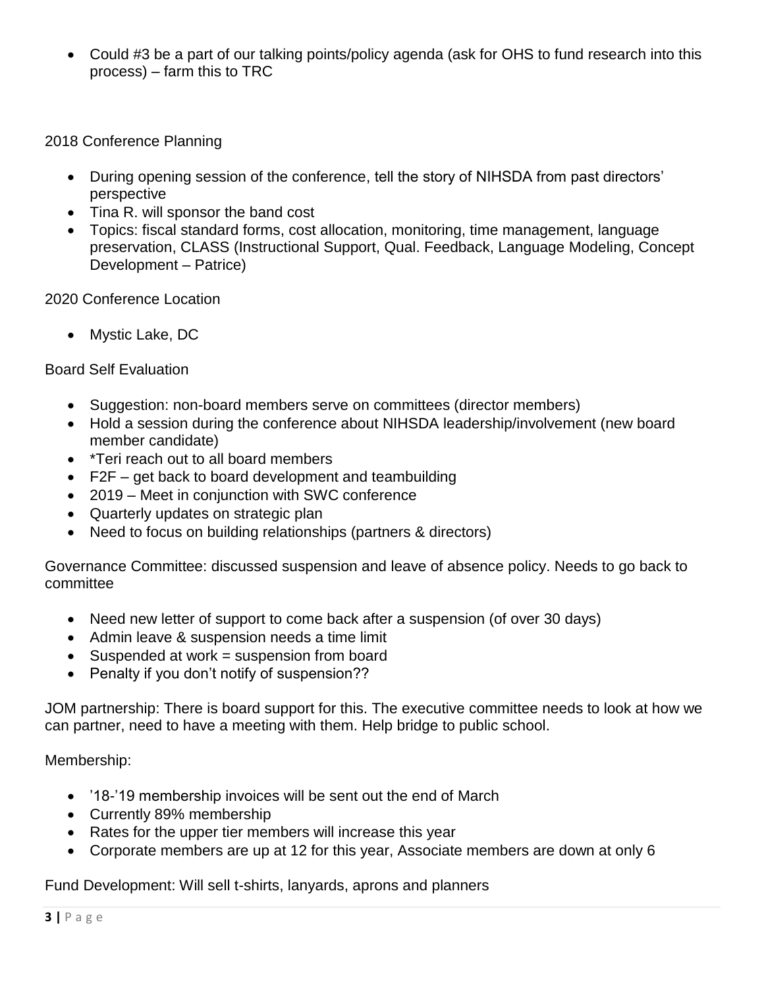Could #3 be a part of our talking points/policy agenda (ask for OHS to fund research into this process) – farm this to TRC

2018 Conference Planning

- During opening session of the conference, tell the story of NIHSDA from past directors' perspective
- Tina R. will sponsor the band cost
- Topics: fiscal standard forms, cost allocation, monitoring, time management, language preservation, CLASS (Instructional Support, Qual. Feedback, Language Modeling, Concept Development – Patrice)

2020 Conference Location

• Mystic Lake, DC

Board Self Evaluation

- Suggestion: non-board members serve on committees (director members)
- Hold a session during the conference about NIHSDA leadership/involvement (new board member candidate)
- \*Teri reach out to all board members
- F2F get back to board development and teambuilding
- 2019 Meet in conjunction with SWC conference
- Quarterly updates on strategic plan
- Need to focus on building relationships (partners & directors)

Governance Committee: discussed suspension and leave of absence policy. Needs to go back to committee

- Need new letter of support to come back after a suspension (of over 30 days)
- Admin leave & suspension needs a time limit
- Suspended at work = suspension from board
- Penalty if you don't notify of suspension??

JOM partnership: There is board support for this. The executive committee needs to look at how we can partner, need to have a meeting with them. Help bridge to public school.

Membership:

- '18-'19 membership invoices will be sent out the end of March
- Currently 89% membership
- Rates for the upper tier members will increase this year
- Corporate members are up at 12 for this year, Associate members are down at only 6

Fund Development: Will sell t-shirts, lanyards, aprons and planners